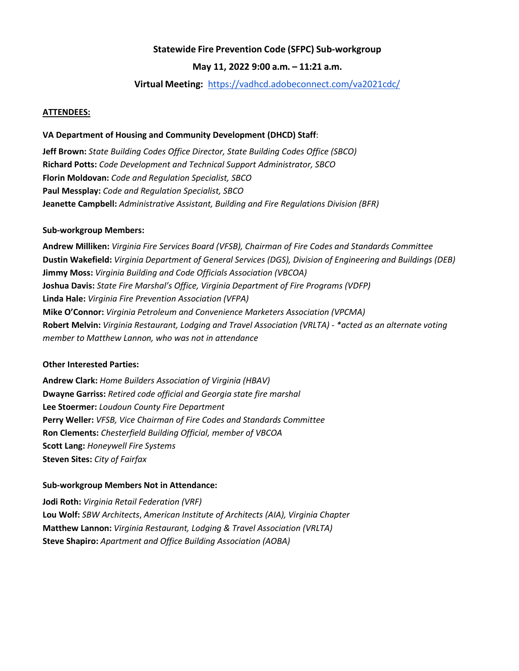# **Statewide Fire Prevention Code (SFPC) Sub-workgroup**

## **May 11, 2022 9:00 a.m. – 11:21 a.m.**

### **Virtual Meeting:** <https://vadhcd.adobeconnect.com/va2021cdc/>

#### **ATTENDEES:**

#### **VA Department of Housing and Community Development (DHCD) Staff**:

**Jeff Brown:** *State Building Codes Office Director, State Building Codes Office (SBCO)* **Richard Potts:** *Code Development and Technical Support Administrator, SBCO* **Florin Moldovan:** *Code and Regulation Specialist, SBCO* **Paul Messplay:** *Code and Regulation Specialist, SBCO* **Jeanette Campbell:** *Administrative Assistant, Building and Fire Regulations Division (BFR)*

#### **Sub-workgroup Members:**

**Andrew Milliken:** *Virginia Fire Services Board (VFSB), Chairman of Fire Codes and Standards Committee* **Dustin Wakefield:** *Virginia Department of General Services (DGS), Division of Engineering and Buildings (DEB)* **Jimmy Moss:** *Virginia Building and Code Officials Association (VBCOA)* **Joshua Davis:** *State Fire Marshal's Office, Virginia Department of Fire Programs (VDFP)* **Linda Hale:** *Virginia Fire Prevention Association (VFPA)* **Mike O'Connor:** *Virginia Petroleum and Convenience Marketers Association (VPCMA)* **Robert Melvin:** *Virginia Restaurant, Lodging and Travel Association (VRLTA) - \*acted as an alternate voting member to Matthew Lannon, who was not in attendance*

#### **Other Interested Parties:**

**Andrew Clark:** *Home Builders Association of Virginia (HBAV)* **Dwayne Garriss:** *Retired code official and Georgia state fire marshal*  **Lee Stoermer:** *Loudoun County Fire Department* **Perry Weller:** *VFSB, Vice Chairman of Fire Codes and Standards Committee* **Ron Clements:** *Chesterfield Building Official, member of VBCOA* **Scott Lang:** *Honeywell Fire Systems* **Steven Sites:** *City of Fairfax*

#### **Sub-workgroup Members Not in Attendance:**

**Jodi Roth:** *Virginia Retail Federation (VRF)* **Lou Wolf:** *SBW Architects*, *American Institute of Architects (AIA), Virginia Chapter* **Matthew Lannon:** *Virginia Restaurant, Lodging & Travel Association (VRLTA)* **Steve Shapiro:** *Apartment and Office Building Association (AOBA)*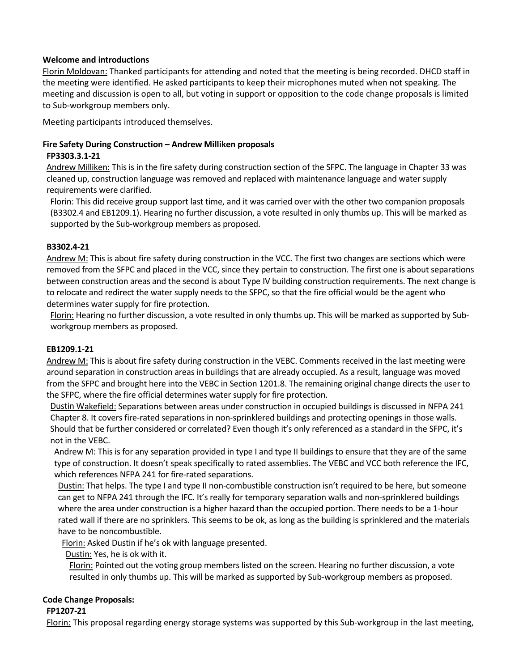# **Welcome and introductions**

Florin Moldovan: Thanked participants for attending and noted that the meeting is being recorded. DHCD staff in the meeting were identified. He asked participants to keep their microphones muted when not speaking. The meeting and discussion is open to all, but voting in support or opposition to the code change proposals is limited to Sub-workgroup members only.

Meeting participants introduced themselves.

# **Fire Safety During Construction – Andrew Milliken proposals**

# **FP3303.3.1-21**

Andrew Milliken: This is in the fire safety during construction section of the SFPC. The language in Chapter 33 was cleaned up, construction language was removed and replaced with maintenance language and water supply requirements were clarified.

Florin: This did receive group support last time, and it was carried over with the other two companion proposals (B3302.4 and EB1209.1). Hearing no further discussion, a vote resulted in only thumbs up. This will be marked as supported by the Sub-workgroup members as proposed.

# **B3302.4-21**

Andrew M: This is about fire safety during construction in the VCC. The first two changes are sections which were removed from the SFPC and placed in the VCC, since they pertain to construction. The first one is about separations between construction areas and the second is about Type IV building construction requirements. The next change is to relocate and redirect the water supply needs to the SFPC, so that the fire official would be the agent who determines water supply for fire protection.

Florin: Hearing no further discussion, a vote resulted in only thumbs up. This will be marked as supported by Subworkgroup members as proposed.

## **EB1209.1-21**

Andrew M: This is about fire safety during construction in the VEBC. Comments received in the last meeting were around separation in construction areas in buildings that are already occupied. As a result, language was moved from the SFPC and brought here into the VEBC in Section 1201.8. The remaining original change directs the user to the SFPC, where the fire official determines water supply for fire protection.

Dustin Wakefield: Separations between areas under construction in occupied buildings is discussed in NFPA 241 Chapter 8. It covers fire-rated separations in non-sprinklered buildings and protecting openings in those walls. Should that be further considered or correlated? Even though it's only referenced as a standard in the SFPC, it's not in the VEBC.

Andrew M: This is for any separation provided in type I and type II buildings to ensure that they are of the same type of construction. It doesn't speak specifically to rated assemblies. The VEBC and VCC both reference the IFC, which references NFPA 241 for fire-rated separations.

Dustin: That helps. The type I and type II non-combustible construction isn't required to be here, but someone can get to NFPA 241 through the IFC. It's really for temporary separation walls and non-sprinklered buildings where the area under construction is a higher hazard than the occupied portion. There needs to be a 1-hour rated wall if there are no sprinklers. This seems to be ok, as long as the building is sprinklered and the materials have to be noncombustible.

Florin: Asked Dustin if he's ok with language presented.

Dustin: Yes, he is ok with it.

Florin: Pointed out the voting group members listed on the screen. Hearing no further discussion, a vote resulted in only thumbs up. This will be marked as supported by Sub-workgroup members as proposed.

# **Code Change Proposals:**

## **FP1207-21**

Florin: This proposal regarding energy storage systems was supported by this Sub-workgroup in the last meeting,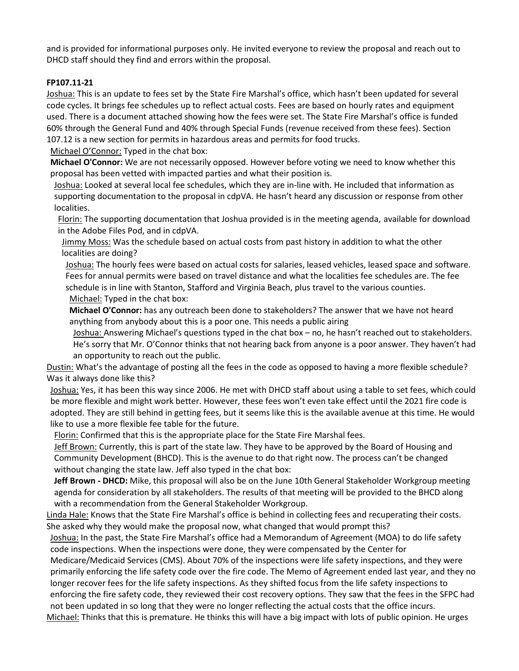and is provided for informational purposes only. He invited everyone to review the proposal and reach out to DHCD staff should they find and errors within the proposal.

## **FP107.11-21**

Joshua: This is an update to fees set by the State Fire Marshal's office, which hasn't been updated for several code cycles. It brings fee schedules up to reflect actual costs. Fees are based on hourly rates and equipment used. There is a document attached showing how the fees were set. The State Fire Marshal's office is funded 60% through the General Fund and 40% through Special Funds (revenue received from these fees). Section 107.12 is a new section for permits in hazardous areas and permits for food trucks.

Michael O'Connor: Typed in the chat box:

**Michael O'Connor:** We are not necessarily opposed. However before voting we need to know whether this proposal has been vetted with impacted parties and what their position is.

Joshua: Looked at several local fee schedules, which they are in-line with. He included that information as supporting documentation to the proposal in cdpVA. He hasn't heard any discussion or response from other localities.

Florin: The supporting documentation that Joshua provided is in the meeting agenda, available for download in the Adobe Files Pod, and in cdpVA.

Jimmy Moss: Was the schedule based on actual costs from past history in addition to what the other localities are doing?

Joshua: The hourly fees were based on actual costs for salaries, leased vehicles, leased space and software. Fees for annual permits were based on travel distance and what the localities fee schedules are. The fee schedule is in line with Stanton, Stafford and Virginia Beach, plus travel to the various counties.

Michael: Typed in the chat box:

**Michael O'Connor:** has any outreach been done to stakeholders? The answer that we have not heard anything from anybody about this is a poor one. This needs a public airing

Joshua: Answering Michael's questions typed in the chat box – no, he hasn't reached out to stakeholders. He's sorry that Mr. O'Connor thinks that not hearing back from anyone is a poor answer. They haven't had an opportunity to reach out the public.

Dustin: What's the advantage of posting all the fees in the code as opposed to having a more flexible schedule? Was it always done like this?

Joshua: Yes, it has been this way since 2006. He met with DHCD staff about using a table to set fees, which could be more flexible and might work better. However, these fees won't even take effect until the 2021 fire code is adopted. They are still behind in getting fees, but it seems like this is the available avenue at this time. He would like to use a more flexible fee table for the future.

Florin: Confirmed that this is the appropriate place for the State Fire Marshal fees.

Jeff Brown: Currently, this is part of the state law. They have to be approved by the Board of Housing and Community Development (BHCD). This is the avenue to do that right now. The process can't be changed without changing the state law. Jeff also typed in the chat box:

**Jeff Brown - DHCD:** Mike, this proposal will also be on the June 10th General Stakeholder Workgroup meeting agenda for consideration by all stakeholders. The results of that meeting will be provided to the BHCD along with a recommendation from the General Stakeholder Workgroup.

Linda Hale: Knows that the State Fire Marshal's office is behind in collecting fees and recuperating their costs. She asked why they would make the proposal now, what changed that would prompt this?

Joshua: In the past, the State Fire Marshal's office had a Memorandum of Agreement (MOA) to do life safety code inspections. When the inspections were done, they were compensated by the Center for

Medicare/Medicaid Services (CMS). About 70% of the inspections were life safety inspections, and they were primarily enforcing the life safety code over the fire code. The Memo of Agreement ended last year, and they no longer recover fees for the life safety inspections. As they shifted focus from the life safety inspections to enforcing the fire safety code, they reviewed their cost recovery options. They saw that the fees in the SFPC had not been updated in so long that they were no longer reflecting the actual costs that the office incurs.

Michael: Thinks that this is premature. He thinks this will have a big impact with lots of public opinion. He urges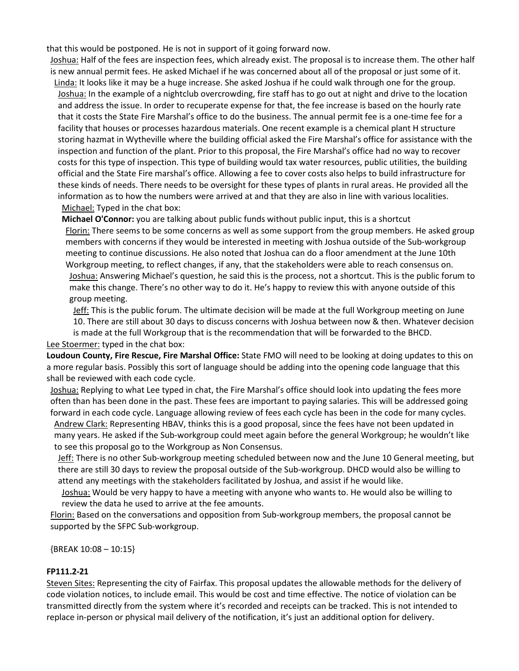that this would be postponed. He is not in support of it going forward now.

Joshua: Half of the fees are inspection fees, which already exist. The proposal is to increase them. The other half is new annual permit fees. He asked Michael if he was concerned about all of the proposal or just some of it.

Linda: It looks like it may be a huge increase. She asked Joshua if he could walk through one for the group. Joshua: In the example of a nightclub overcrowding, fire staff has to go out at night and drive to the location and address the issue. In order to recuperate expense for that, the fee increase is based on the hourly rate that it costs the State Fire Marshal's office to do the business. The annual permit fee is a one-time fee for a facility that houses or processes hazardous materials. One recent example is a chemical plant H structure storing hazmat in Wytheville where the building official asked the Fire Marshal's office for assistance with the inspection and function of the plant. Prior to this proposal, the Fire Marshal's office had no way to recover costs for this type of inspection. This type of building would tax water resources, public utilities, the building official and the State Fire marshal's office. Allowing a fee to cover costs also helps to build infrastructure for these kinds of needs. There needs to be oversight for these types of plants in rural areas. He provided all the information as to how the numbers were arrived at and that they are also in line with various localities. Michael: Typed in the chat box:

**Michael O'Connor:** you are talking about public funds without public input, this is a shortcut Florin: There seems to be some concerns as well as some support from the group members. He asked group members with concerns if they would be interested in meeting with Joshua outside of the Sub-workgroup meeting to continue discussions. He also noted that Joshua can do a floor amendment at the June 10th Workgroup meeting, to reflect changes, if any, that the stakeholders were able to reach consensus on. Joshua: Answering Michael's question, he said this is the process, not a shortcut. This is the public forum to make this change. There's no other way to do it. He's happy to review this with anyone outside of this group meeting.

Jeff: This is the public forum. The ultimate decision will be made at the full Workgroup meeting on June 10. There are still about 30 days to discuss concerns with Joshua between now & then. Whatever decision is made at the full Workgroup that is the recommendation that will be forwarded to the BHCD.

#### Lee Stoermer: typed in the chat box:

**Loudoun County, Fire Rescue, Fire Marshal Office:** State FMO will need to be looking at doing updates to this on a more regular basis. Possibly this sort of language should be adding into the opening code language that this shall be reviewed with each code cycle.

Joshua: Replying to what Lee typed in chat, the Fire Marshal's office should look into updating the fees more often than has been done in the past. These fees are important to paying salaries. This will be addressed going forward in each code cycle. Language allowing review of fees each cycle has been in the code for many cycles. Andrew Clark: Representing HBAV, thinks this is a good proposal, since the fees have not been updated in many years. He asked if the Sub-workgroup could meet again before the general Workgroup; he wouldn't like to see this proposal go to the Workgroup as Non Consensus.

Jeff: There is no other Sub-workgroup meeting scheduled between now and the June 10 General meeting, but there are still 30 days to review the proposal outside of the Sub-workgroup. DHCD would also be willing to attend any meetings with the stakeholders facilitated by Joshua, and assist if he would like.

Joshua: Would be very happy to have a meeting with anyone who wants to. He would also be willing to review the data he used to arrive at the fee amounts.

Florin: Based on the conversations and opposition from Sub-workgroup members, the proposal cannot be supported by the SFPC Sub-workgroup.

{BREAK 10:08 – 10:15}

## **FP111.2-21**

Steven Sites: Representing the city of Fairfax. This proposal updates the allowable methods for the delivery of code violation notices, to include email. This would be cost and time effective. The notice of violation can be transmitted directly from the system where it's recorded and receipts can be tracked. This is not intended to replace in-person or physical mail delivery of the notification, it's just an additional option for delivery.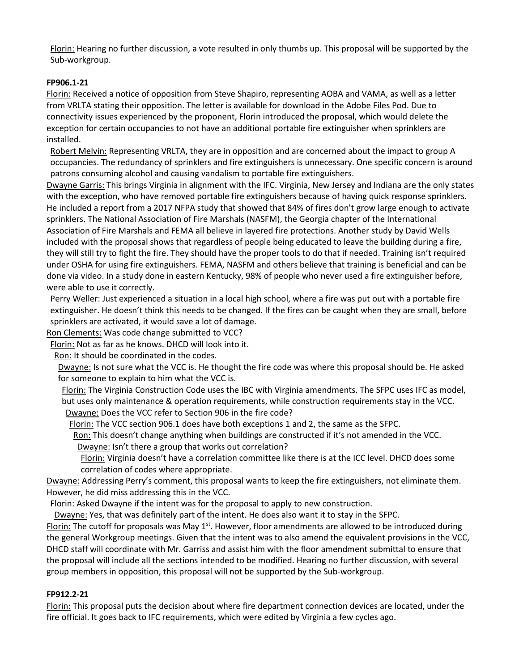Florin: Hearing no further discussion, a vote resulted in only thumbs up. This proposal will be supported by the Sub-workgroup.

# **FP906.1-21**

Florin: Received a notice of opposition from Steve Shapiro, representing AOBA and VAMA, as well as a letter from VRLTA stating their opposition. The letter is available for download in the Adobe Files Pod. Due to connectivity issues experienced by the proponent, Florin introduced the proposal, which would delete the exception for certain occupancies to not have an additional portable fire extinguisher when sprinklers are installed.

Robert Melvin: Representing VRLTA, they are in opposition and are concerned about the impact to group A occupancies. The redundancy of sprinklers and fire extinguishers is unnecessary. One specific concern is around patrons consuming alcohol and causing vandalism to portable fire extinguishers.

Dwayne Garris: This brings Virginia in alignment with the IFC. Virginia, New Jersey and Indiana are the only states with the exception, who have removed portable fire extinguishers because of having quick response sprinklers. He included a report from a 2017 NFPA study that showed that 84% of fires don't grow large enough to activate sprinklers. The National Association of Fire Marshals (NASFM), the Georgia chapter of the International Association of Fire Marshals and FEMA all believe in layered fire protections. Another study by David Wells included with the proposal shows that regardless of people being educated to leave the building during a fire, they will still try to fight the fire. They should have the proper tools to do that if needed. Training isn't required under OSHA for using fire extinguishers. FEMA, NASFM and others believe that training is beneficial and can be done via video. In a study done in eastern Kentucky, 98% of people who never used a fire extinguisher before, were able to use it correctly.

Perry Weller: Just experienced a situation in a local high school, where a fire was put out with a portable fire extinguisher. He doesn't think this needs to be changed. If the fires can be caught when they are small, before sprinklers are activated, it would save a lot of damage.

Ron Clements: Was code change submitted to VCC?

Florin: Not as far as he knows. DHCD will look into it.

Ron: It should be coordinated in the codes.

Dwayne: Is not sure what the VCC is. He thought the fire code was where this proposal should be. He asked for someone to explain to him what the VCC is.

Florin: The Virginia Construction Code uses the IBC with Virginia amendments. The SFPC uses IFC as model, but uses only maintenance & operation requirements, while construction requirements stay in the VCC. Dwayne: Does the VCC refer to Section 906 in the fire code?

Florin: The VCC section 906.1 does have both exceptions 1 and 2, the same as the SFPC.

Ron: This doesn't change anything when buildings are constructed if it's not amended in the VCC. Dwayne: Isn't there a group that works out correlation?

Florin: Virginia doesn't have a correlation committee like there is at the ICC level. DHCD does some correlation of codes where appropriate.

Dwayne: Addressing Perry's comment, this proposal wants to keep the fire extinguishers, not eliminate them. However, he did miss addressing this in the VCC.

Florin: Asked Dwayne if the intent was for the proposal to apply to new construction.

Dwayne: Yes, that was definitely part of the intent. He does also want it to stay in the SFPC.

Florin: The cutoff for proposals was May  $1<sup>st</sup>$ . However, floor amendments are allowed to be introduced during the general Workgroup meetings. Given that the intent was to also amend the equivalent provisions in the VCC, DHCD staff will coordinate with Mr. Garriss and assist him with the floor amendment submittal to ensure that the proposal will include all the sections intended to be modified. Hearing no further discussion, with several group members in opposition, this proposal will not be supported by the Sub-workgroup.

# **FP912.2-21**

Florin: This proposal puts the decision about where fire department connection devices are located, under the fire official. It goes back to IFC requirements, which were edited by Virginia a few cycles ago.